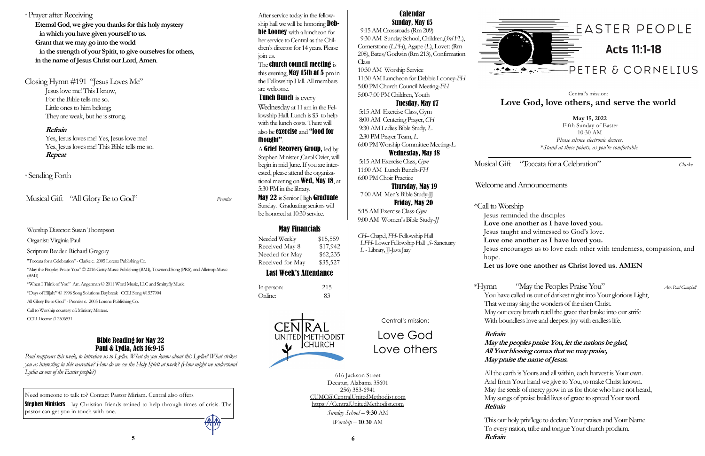Musical Gift "Toccata for a Celebration" *Clarke* 

Welcome and Announcements

\*Call to Worship Jesus reminded the disciples **Love one another as I have loved you.** Jesus taught and witnessed to God's love. **Love one another as I have loved you.**  Jesus encourages us to love each other with tenderness, compassion, and hope. **Let us love one another as Christ loved us. AMEN**

\*Hymn "May the Peoples Praise You" *Arr. Paul Campbell*  You have called us out of darkest night into Your glorious Light, That we may sing the wonders of the risen Christ. May our every breath retell the grace that broke into our strife With boundless love and deepest joy with endless life.

**Refrain**

"May the Peoples Praise You" C 2016 Getty Music Publishing (BMI), Townend Song (PRS), and Alletrop Music (BMI)

## **May the peoples praise You, let the nations be glad, All Your blessing comes that we may praise, May praise the name of Jesus.**

All the earth is Yours and all within, each harvest is Your own. And from Your hand we give to You, to make Christ known. May the seeds of mercy grow in us for those who have not heard, May songs of praise build lives of grace to spread Your word. **Refrain**

This our holy priv'lege to declare Your praises and Your Name To every nation, tribe and tongue Your church proclaim.

**5 6 Refrain**



Worship Director: Susan Thompson

Organist: Virginia Paul

Scripture Reader: Richard Gregory

"Toccata for a Celebration" -Clarke c. 2005 Lorenz Publishing Co.

"When I Think of You" Arr. Angerman © 2011 Word Music, LLC and Smittyfly Music

"Days of Elijah:" © 1996 Song Solutions Daybreak CCLI Song #1537904

All Glory Be to God" - Prentiss c. 2005 Lorenz Publishing Co.

Call to Worship courtesy of: Ministry Matters.

CCLI License # 2306531

# May Financials

Needed Weekly \$15,559 Received May 8 \$17,942 Needed for May \$62,235 Received for May \$35,527

# Last Week's Attendance

In-person: 215 Online: 83



**May 15, 2022** Fifth Sunday of Easter 10:30 AM *Please silence electronic devices*. \**Stand at these points, as you're comfortable.*

# Central's mission: **Love God, love others, and serve the world**

Central's mission:

Love God

Love others

616 Jackson Street Decatur, Alabama 35601 256) 353-6941 CUMC@CentralUnitedMethodist.com https://CentralUnitedMethodist.com

**Lunch Bunch** is every Wednesday at 11 am in the Fellowship Hall. Lunch is \$3 to help with the lunch costs. There will

> *Sunday School* – **9**:**30** AM *Worship* – **10**:**30** AM

# Calendar Sunday, May 15

A Grief Recovery Group, led by Stephen Minister ,Carol Ozier, will begin in mid June. If you are interested, please attend the organizational meeting on **Wed, May 18**, at 5:30 PM in the library.

May 22 is Senior High Graduate Sunday. Graduating seniors will be honored at 10:30 service.

 9:15 AM Crossroads (Rm 209) 9:30 AM Sunday School, Children,(*3rd FL*), Cornerstone (*LFH*), Agape (*L*), Lovett (Rm 208), Bates/Godwin (Rm 213), Confirmation Class

10:30 AM Worship Service 11:30 AM Luncheon for Debbie Looney-*FH* 5:00 PM Church Council Meeting-*FH* 5:00-7:00 PM Children, Youth

# Tuesday, May 17

5:15 AM Exercise Class, Gym 8:00 AM Centering Prayer, *CH* 9:30 AM Ladies Bible Study*, L* 2:30 PM Prayer Team, *L* 6:00 PM Worship Committee Meeting-*L*

# Wednesday, May 18

5:15 AM Exercise Class, *Gym* 11:00 AM Lunch Bunch-*FH* 6:00 PM Choir Practice

 Thursday, May 19 7:00 AM Men's Bible Study-JJ

 Friday, May 20 5:15 AM Exercise Class-*Gym*  9:00 AM Women's Bible Study-*JJ*

*CH–* Chapel, *FH*- Fellowship Hall  *LFH*- Lower Fellowship Hall ,*S*- Sanctuary *L* - Library, JJ-Java Jaay

Musical Gift "All Glory Be to God" *Prentiss* 

# Bible Reading for May 22 Paul & Lydia, Acts 16:9-15

\* Prayer after Receiving **Eternal God**, **we give you thanks for this holy mystery in which you have given yourself to us**. **Grant that we may go into the world in the strength of your Spirit**, **to give ourselves for others**, **in the name of Jesus Christ our Lord**, **Amen**. Closing Hymn #191 "Jesus Loves Me" Jesus love me! This I know, For the Bible tells me so. Little ones to him belong; They are weak, but he is strong. **Refrain** Yes, Jesus loves me! Yes, Jesus love me! Yes, Jesus loves me! This Bible tells me so. **Repeat** \* Sending Forth join us. are welcome. thought".

*Paul reappears this week, to introduce us to Lydia. What do you know about this Lydia? What strikes you as interesting in this narrative? How do we see the Holy Spirit at work? (How might we understand Lydia as one of the Easter people?)*

After service today in the fellowship hall we will be honoring **Debbie Looney** with a luncheon for her service to Central as the Children's director for 14 years. Please The church council meeting is this evening, **May 15th at 5** pm in the Fellowship Hall. All members

# also be exercise and "food for

Need someone to talk to? Contact Pastor Miriam. Central also offers

Stephen Ministers—lay Christian friends trained to help through times of crisis. The pastor can get you in touch with one.